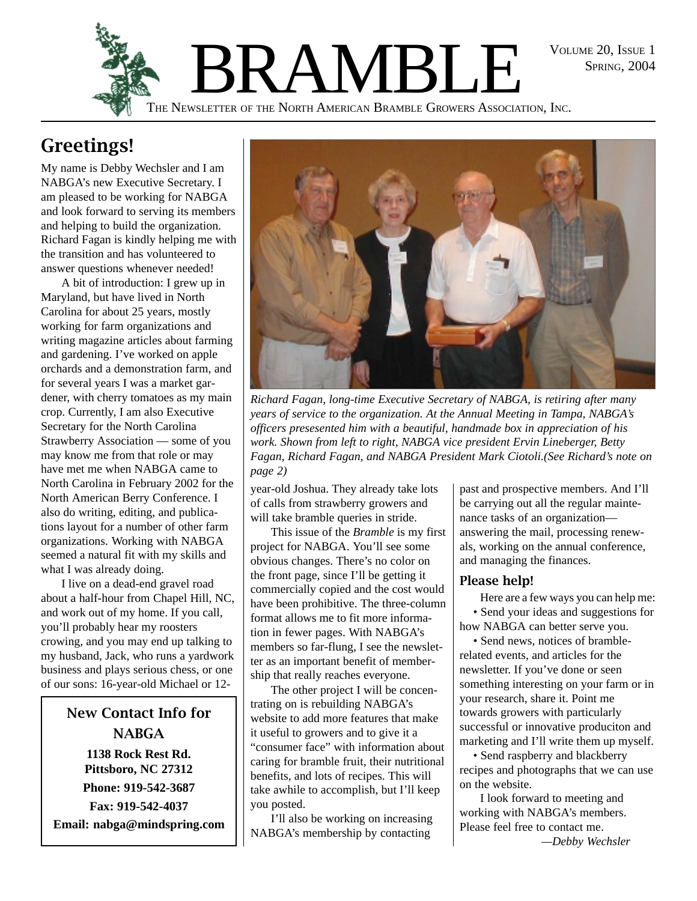SPRING, 2004



# **Greetings!**

My name is Debby Wechsler and I am NABGA's new Executive Secretary. I am pleased to be working for NABGA and look forward to serving its members and helping to build the organization. Richard Fagan is kindly helping me with the transition and has volunteered to answer questions whenever needed!

A bit of introduction: I grew up in Maryland, but have lived in North Carolina for about 25 years, mostly working for farm organizations and writing magazine articles about farming and gardening. I've worked on apple orchards and a demonstration farm, and for several years I was a market gardener, with cherry tomatoes as my main crop. Currently, I am also Executive Secretary for the North Carolina Strawberry Association — some of you may know me from that role or may have met me when NABGA came to North Carolina in February 2002 for the North American Berry Conference. I also do writing, editing, and publications layout for a number of other farm organizations. Working with NABGA seemed a natural fit with my skills and what I was already doing.

I live on a dead-end gravel road about a half-hour from Chapel Hill, NC, and work out of my home. If you call, you'll probably hear my roosters crowing, and you may end up talking to my husband, Jack, who runs a yardwork business and plays serious chess, or one of our sons: 16-year-old Michael or 12-

**New Contact Info for NARGA 1138 Rock Rest Rd. Pittsboro, NC 27312 Phone: 919-542-3687 Fax: 919-542-4037**

**Email: nabga@mindspring.com**



*Richard Fagan, long-time Executive Secretary of NABGA, is retiring after many years of service to the organization. At the Annual Meeting in Tampa, NABGA's officers presesented him with a beautiful, handmade box in appreciation of his work. Shown from left to right, NABGA vice president Ervin Lineberger, Betty Fagan, Richard Fagan, and NABGA President Mark Ciotoli.(See Richard's note on page 2)*

year-old Joshua. They already take lots of calls from strawberry growers and will take bramble queries in stride.

This issue of the *Bramble* is my first project for NABGA. You'll see some obvious changes. There's no color on the front page, since I'll be getting it commercially copied and the cost would have been prohibitive. The three-column format allows me to fit more information in fewer pages. With NABGA's members so far-flung, I see the newsletter as an important benefit of membership that really reaches everyone.

The other project I will be concentrating on is rebuilding NABGA's website to add more features that make it useful to growers and to give it a "consumer face" with information about caring for bramble fruit, their nutritional benefits, and lots of recipes. This will take awhile to accomplish, but I'll keep you posted.

I'll also be working on increasing NABGA's membership by contacting

past and prospective members. And I'll be carrying out all the regular maintenance tasks of an organization answering the mail, processing renewals, working on the annual conference, and managing the finances.

#### Please help!

Here are a few ways you can help me: • Send your ideas and suggestions for how NABGA can better serve you.

• Send news, notices of bramblerelated events, and articles for the newsletter. If you've done or seen something interesting on your farm or in your research, share it. Point me towards growers with particularly successful or innovative produciton and marketing and I'll write them up myself.

• Send raspberry and blackberry recipes and photographs that we can use on the website.

I look forward to meeting and working with NABGA's members. Please feel free to contact me.

*—Debby Wechsler*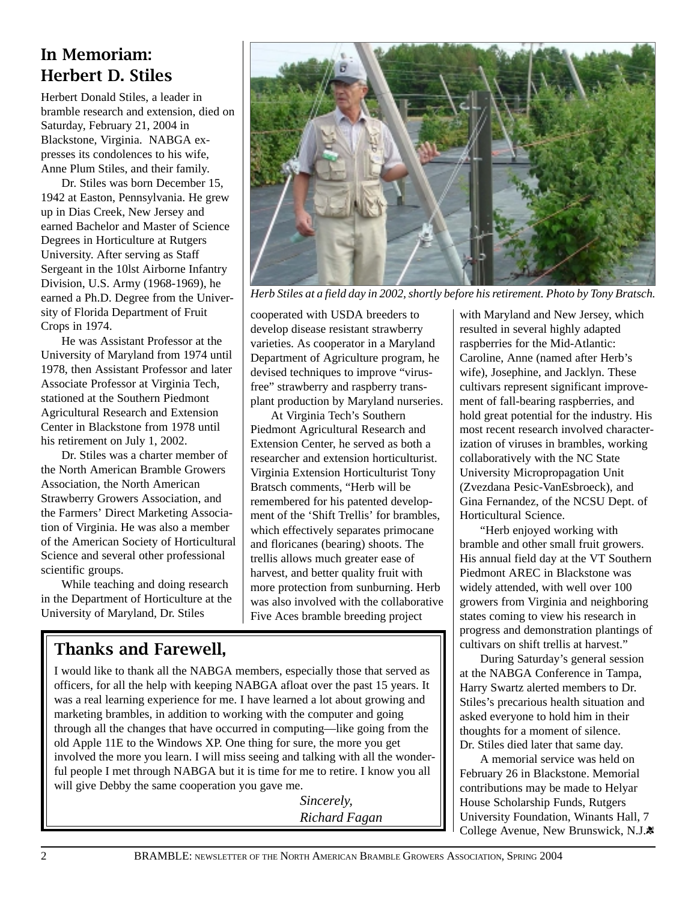#### In Memoriam: Herbert D. Stiles

Herbert Donald Stiles, a leader in bramble research and extension, died on Saturday, February 21, 2004 in Blackstone, Virginia. NABGA expresses its condolences to his wife, Anne Plum Stiles, and their family.

Dr. Stiles was born December 15, 1942 at Easton, Pennsylvania. He grew up in Dias Creek, New Jersey and earned Bachelor and Master of Science Degrees in Horticulture at Rutgers University. After serving as Staff Sergeant in the 10lst Airborne Infantry Division, U.S. Army (1968-1969), he earned a Ph.D. Degree from the University of Florida Department of Fruit Crops in 1974.

He was Assistant Professor at the University of Maryland from 1974 until 1978, then Assistant Professor and later Associate Professor at Virginia Tech, stationed at the Southern Piedmont Agricultural Research and Extension Center in Blackstone from 1978 until his retirement on July 1, 2002.

Dr. Stiles was a charter member of the North American Bramble Growers Association, the North American Strawberry Growers Association, and the Farmers' Direct Marketing Association of Virginia. He was also a member of the American Society of Horticultural Science and several other professional scientific groups.

While teaching and doing research in the Department of Horticulture at the University of Maryland, Dr. Stiles

### Thanks and Farewell,

I would like to thank all the NABGA members, especially those that served as officers, for all the help with keeping NABGA afloat over the past 15 years. It was a real learning experience for me. I have learned a lot about growing and marketing brambles, in addition to working with the computer and going through all the changes that have occurred in computing—like going from the old Apple 11E to the Windows XP. One thing for sure, the more you get involved the more you learn. I will miss seeing and talking with all the wonderful people I met through NABGA but it is time for me to retire. I know you all will give Debby the same cooperation you gave me.

> *Sincerely, Richard Fagan*

cooperated with USDA breeders to develop disease resistant strawberry varieties. As cooperator in a Maryland Department of Agriculture program, he devised techniques to improve "virusfree" strawberry and raspberry transplant production by Maryland nurseries. At Virginia Tech's Southern Piedmont Agricultural Research and Extension Center, he served as both a researcher and extension horticulturist. Virginia Extension Horticulturist Tony Bratsch comments, "Herb will be remembered for his patented development of the 'Shift Trellis' for brambles, which effectively separates primocane and floricanes (bearing) shoots. The trellis allows much greater ease of harvest, and better quality fruit with more protection from sunburning. Herb was also involved with the collaborative Five Aces bramble breeding project

with Maryland and New Jersey, which resulted in several highly adapted raspberries for the Mid-Atlantic: Caroline, Anne (named after Herb's wife), Josephine, and Jacklyn. These cultivars represent significant improvement of fall-bearing raspberries, and hold great potential for the industry. His most recent research involved characterization of viruses in brambles, working collaboratively with the NC State University Micropropagation Unit (Zvezdana Pesic-VanEsbroeck), and Gina Fernandez, of the NCSU Dept. of Horticultural Science.

"Herb enjoyed working with bramble and other small fruit growers. His annual field day at the VT Southern Piedmont AREC in Blackstone was widely attended, with well over 100 growers from Virginia and neighboring states coming to view his research in progress and demonstration plantings of cultivars on shift trellis at harvest."

During Saturday's general session at the NABGA Conference in Tampa, Harry Swartz alerted members to Dr. Stiles's precarious health situation and asked everyone to hold him in their thoughts for a moment of silence. Dr. Stiles died later that same day.

A memorial service was held on February 26 in Blackstone. Memorial contributions may be made to Helyar House Scholarship Funds, Rutgers University Foundation, Winants Hall, 7 College Avenue, New Brunswick, N.J.





*Herb Stiles at a field day in 2002, shortly before his retirement. Photo by Tony Bratsch.*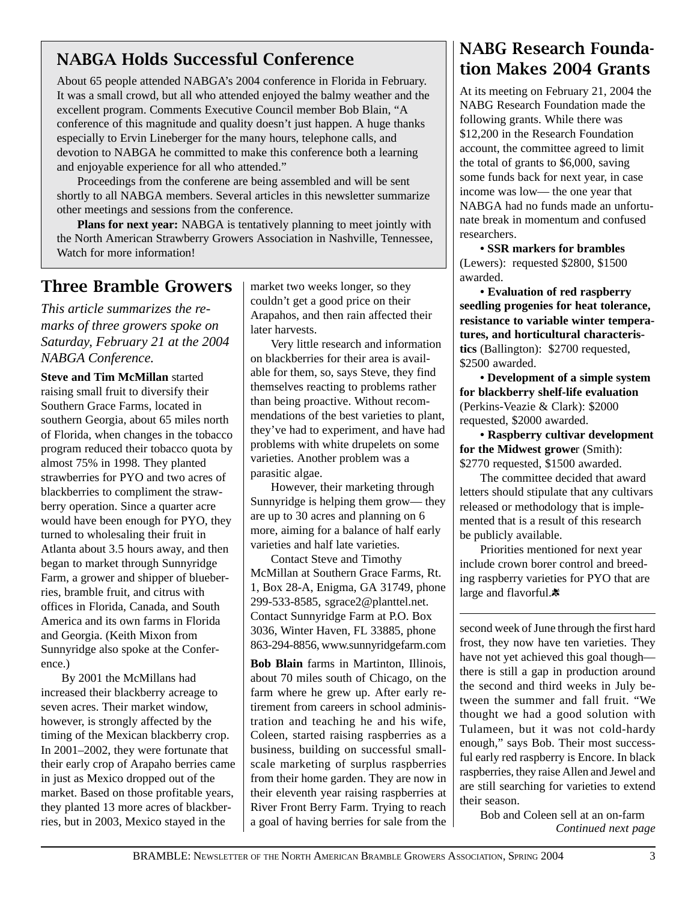## NABGA Holds Successful Conference

About 65 people attended NABGA's 2004 conference in Florida in February. It was a small crowd, but all who attended enjoyed the balmy weather and the excellent program. Comments Executive Council member Bob Blain, "A conference of this magnitude and quality doesn't just happen. A huge thanks especially to Ervin Lineberger for the many hours, telephone calls, and devotion to NABGA he committed to make this conference both a learning and enjoyable experience for all who attended."

Proceedings from the conferene are being assembled and will be sent shortly to all NABGA members. Several articles in this newsletter summarize other meetings and sessions from the conference.

**Plans for next year:** NABGA is tentatively planning to meet jointly with the North American Strawberry Growers Association in Nashville, Tennessee, Watch for more information!

#### Three Bramble Growers

*This article summarizes the remarks of three growers spoke on Saturday, February 21 at the 2004 NABGA Conference.*

**Steve and Tim McMillan** started raising small fruit to diversify their Southern Grace Farms, located in southern Georgia, about 65 miles north of Florida, when changes in the tobacco program reduced their tobacco quota by almost 75% in 1998. They planted strawberries for PYO and two acres of blackberries to compliment the strawberry operation. Since a quarter acre would have been enough for PYO, they turned to wholesaling their fruit in Atlanta about 3.5 hours away, and then began to market through Sunnyridge Farm, a grower and shipper of blueberries, bramble fruit, and citrus with offices in Florida, Canada, and South America and its own farms in Florida and Georgia. (Keith Mixon from Sunnyridge also spoke at the Conference.)

By 2001 the McMillans had increased their blackberry acreage to seven acres. Their market window, however, is strongly affected by the timing of the Mexican blackberry crop. In 2001–2002, they were fortunate that their early crop of Arapaho berries came in just as Mexico dropped out of the market. Based on those profitable years, they planted 13 more acres of blackberries, but in 2003, Mexico stayed in the

market two weeks longer, so they couldn't get a good price on their Arapahos, and then rain affected their later harvests.

Very little research and information on blackberries for their area is available for them, so, says Steve, they find themselves reacting to problems rather than being proactive. Without recommendations of the best varieties to plant, they've had to experiment, and have had problems with white drupelets on some varieties. Another problem was a parasitic algae.

However, their marketing through Sunnyridge is helping them grow— they are up to 30 acres and planning on 6 more, aiming for a balance of half early varieties and half late varieties.

Contact Steve and Timothy McMillan at Southern Grace Farms, Rt. 1, Box 28-A, Enigma, GA 31749, phone 299-533-8585, sgrace2@planttel.net. Contact Sunnyridge Farm at P.O. Box 3036, Winter Haven, FL 33885, phone 863-294-8856, www.sunnyridgefarm.com

**Bob Blain** farms in Martinton, Illinois, about 70 miles south of Chicago, on the farm where he grew up. After early retirement from careers in school administration and teaching he and his wife, Coleen, started raising raspberries as a business, building on successful smallscale marketing of surplus raspberries from their home garden. They are now in their eleventh year raising raspberries at River Front Berry Farm. Trying to reach

## NABG Research Foundation Makes 2004 Grants

At its meeting on February 21, 2004 the NABG Research Foundation made the following grants. While there was \$12,200 in the Research Foundation account, the committee agreed to limit the total of grants to \$6,000, saving some funds back for next year, in case income was low— the one year that NABGA had no funds made an unfortunate break in momentum and confused researchers.

**• SSR markers for brambles** (Lewers): requested \$2800, \$1500 awarded.

**• Evaluation of red raspberry seedling progenies for heat tolerance, resistance to variable winter temperatures, and horticultural characteristics** (Ballington): \$2700 requested, \$2500 awarded.

**• Development of a simple system for blackberry shelf-life evaluation** (Perkins-Veazie & Clark): \$2000 requested, \$2000 awarded.

**• Raspberry cultivar development for the Midwest growe**r (Smith): \$2770 requested, \$1500 awarded.

The committee decided that award letters should stipulate that any cultivars released or methodology that is implemented that is a result of this research be publicly available.

Priorities mentioned for next year include crown borer control and breeding raspberry varieties for PYO that are large and flavorful.

second week of June through the first hard frost, they now have ten varieties. They have not yet achieved this goal though there is still a gap in production around the second and third weeks in July between the summer and fall fruit. "We thought we had a good solution with Tulameen, but it was not cold-hardy enough," says Bob. Their most successful early red raspberry is Encore. In black raspberries, they raise Allen and Jewel and are still searching for varieties to extend their season.

Bob and Coleen sell at an on-farm a goal of having berries for sale from the *Continued next page*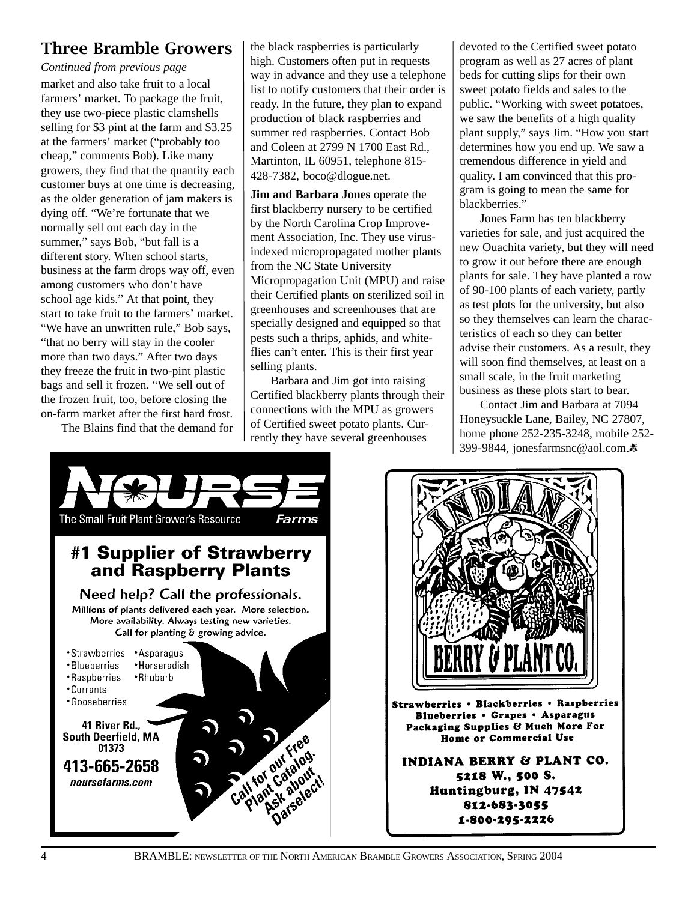#### Three Bramble Growers

market and also take fruit to a local farmers' market. To package the fruit, they use two-piece plastic clamshells selling for \$3 pint at the farm and \$3.25 at the farmers' market ("probably too cheap," comments Bob). Like many growers, they find that the quantity each customer buys at one time is decreasing, as the older generation of jam makers is dying off. "We're fortunate that we normally sell out each day in the summer," says Bob, "but fall is a different story. When school starts, business at the farm drops way off, even among customers who don't have school age kids." At that point, they start to take fruit to the farmers' market. "We have an unwritten rule," Bob says, "that no berry will stay in the cooler more than two days." After two days they freeze the fruit in two-pint plastic bags and sell it frozen. "We sell out of the frozen fruit, too, before closing the on-farm market after the first hard frost. *Continued from previous page*

The Blains find that the demand for

the black raspberries is particularly high. Customers often put in requests way in advance and they use a telephone list to notify customers that their order is ready. In the future, they plan to expand production of black raspberries and summer red raspberries. Contact Bob and Coleen at 2799 N 1700 East Rd., Martinton, IL 60951, telephone 815- 428-7382, boco@dlogue.net.

**Jim and Barbara Jones** operate the first blackberry nursery to be certified by the North Carolina Crop Improvement Association, Inc. They use virusindexed micropropagated mother plants from the NC State University Micropropagation Unit (MPU) and raise their Certified plants on sterilized soil in greenhouses and screenhouses that are specially designed and equipped so that pests such a thrips, aphids, and whiteflies can't enter. This is their first year selling plants.

Barbara and Jim got into raising Certified blackberry plants through their connections with the MPU as growers of Certified sweet potato plants. Currently they have several greenhouses

devoted to the Certified sweet potato program as well as 27 acres of plant beds for cutting slips for their own sweet potato fields and sales to the public. "Working with sweet potatoes, we saw the benefits of a high quality plant supply," says Jim. "How you start determines how you end up. We saw a tremendous difference in yield and quality. I am convinced that this program is going to mean the same for blackberries."

Jones Farm has ten blackberry varieties for sale, and just acquired the new Ouachita variety, but they will need to grow it out before there are enough plants for sale. They have planted a row of 90-100 plants of each variety, partly as test plots for the university, but also so they themselves can learn the characteristics of each so they can better advise their customers. As a result, they will soon find themselves, at least on a small scale, in the fruit marketing business as these plots start to bear.

Contact Jim and Barbara at 7094 Honeysuckle Lane, Bailey, NC 27807, home phone 252-235-3248, mobile 252- 399-9844, jonesfarmsnc@aol.com.\*



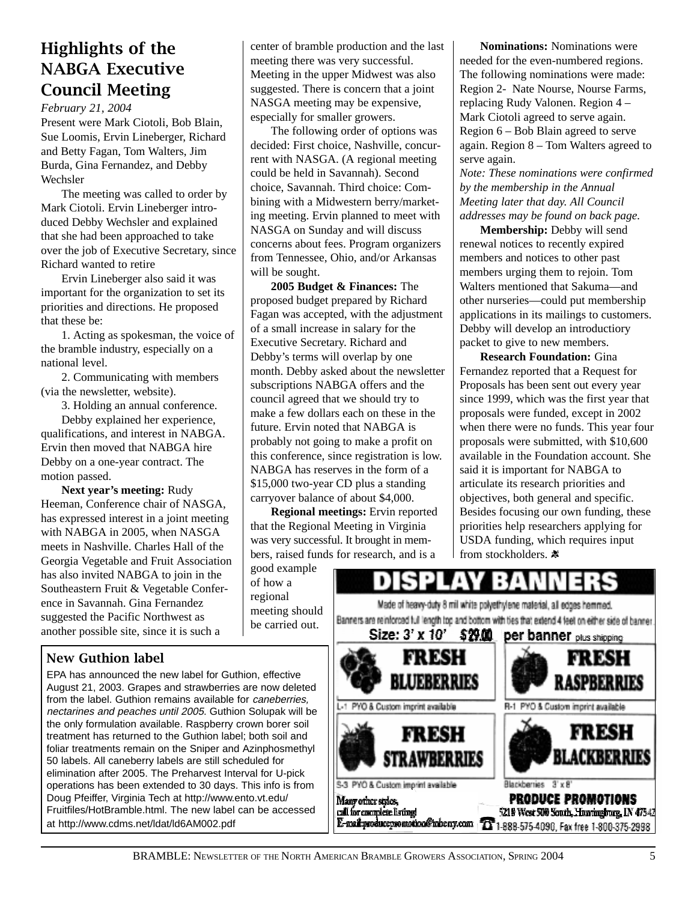#### **Highlights of the** NABGA Executive **Council Meeting**

*February 21, 2004*

Present were Mark Ciotoli, Bob Blain, Sue Loomis, Ervin Lineberger, Richard and Betty Fagan, Tom Walters, Jim Burda, Gina Fernandez, and Debby Wechsler

The meeting was called to order by Mark Ciotoli. Ervin Lineberger introduced Debby Wechsler and explained that she had been approached to take over the job of Executive Secretary, since Richard wanted to retire

Ervin Lineberger also said it was important for the organization to set its priorities and directions. He proposed that these be:

1. Acting as spokesman, the voice of the bramble industry, especially on a national level.

2. Communicating with members (via the newsletter, website).

3. Holding an annual conference. Debby explained her experience, qualifications, and interest in NABGA. Ervin then moved that NABGA hire Debby on a one-year contract. The motion passed.

**Next year's meeting:** Rudy Heeman, Conference chair of NASGA, has expressed interest in a joint meeting with NABGA in 2005, when NASGA meets in Nashville. Charles Hall of the Georgia Vegetable and Fruit Association has also invited NABGA to join in the Southeastern Fruit & Vegetable Conference in Savannah. Gina Fernandez suggested the Pacific Northwest as another possible site, since it is such a

#### **New Guthion label**

EPA has announced the new label for Guthion, effective August 21, 2003. Grapes and strawberries are now deleted from the label. Guthion remains available for caneberries, nectarines and peaches until 2005. Guthion Solupak will be the only formulation available. Raspberry crown borer soil treatment has returned to the Guthion label; both soil and foliar treatments remain on the Sniper and Azinphosmethyl 50 labels. All caneberry labels are still scheduled for elimination after 2005. The Preharvest Interval for U-pick operations has been extended to 30 days. This info is from Doug Pfeiffer, Virginia Tech at http://www.ento.vt.edu/ Fruitfiles/HotBramble.html. The new label can be accessed at http://www.cdms.net/ldat/ld6AM002.pdf

center of bramble production and the last meeting there was very successful. Meeting in the upper Midwest was also suggested. There is concern that a joint NASGA meeting may be expensive, especially for smaller growers.

The following order of options was decided: First choice, Nashville, concurrent with NASGA. (A regional meeting could be held in Savannah). Second choice, Savannah. Third choice: Combining with a Midwestern berry/marketing meeting. Ervin planned to meet with NASGA on Sunday and will discuss concerns about fees. Program organizers from Tennessee, Ohio, and/or Arkansas will be sought.

**2005 Budget & Finances:** The proposed budget prepared by Richard Fagan was accepted, with the adjustment of a small increase in salary for the Executive Secretary. Richard and Debby's terms will overlap by one month. Debby asked about the newsletter subscriptions NABGA offers and the council agreed that we should try to make a few dollars each on these in the future. Ervin noted that NABGA is probably not going to make a profit on this conference, since registration is low. NABGA has reserves in the form of a \$15,000 two-year CD plus a standing carryover balance of about \$4,000.

**Regional meetings:** Ervin reported that the Regional Meeting in Virginia was very successful. It brought in members, raised funds for research, and is a

good example of how a regional meeting should be carried out.

**Nominations:** Nominations were needed for the even-numbered regions. The following nominations were made: Region 2- Nate Nourse, Nourse Farms, replacing Rudy Valonen. Region 4 – Mark Ciotoli agreed to serve again. Region 6 – Bob Blain agreed to serve again. Region 8 – Tom Walters agreed to serve again.

*Note: These nominations were confirmed by the membership in the Annual Meeting later that day. All Council addresses may be found on back page.*

**Membership:** Debby will send renewal notices to recently expired members and notices to other past members urging them to rejoin. Tom Walters mentioned that Sakuma—and other nurseries—could put membership applications in its mailings to customers. Debby will develop an introductiory packet to give to new members.

**Research Foundation:** Gina Fernandez reported that a Request for Proposals has been sent out every year since 1999, which was the first year that proposals were funded, except in 2002 when there were no funds. This year four proposals were submitted, with \$10,600 available in the Foundation account. She said it is important for NABGA to articulate its research priorities and objectives, both general and specific. Besides focusing our own funding, these priorities help researchers applying for USDA funding, which requires input from stockholders.  $\ast$ 

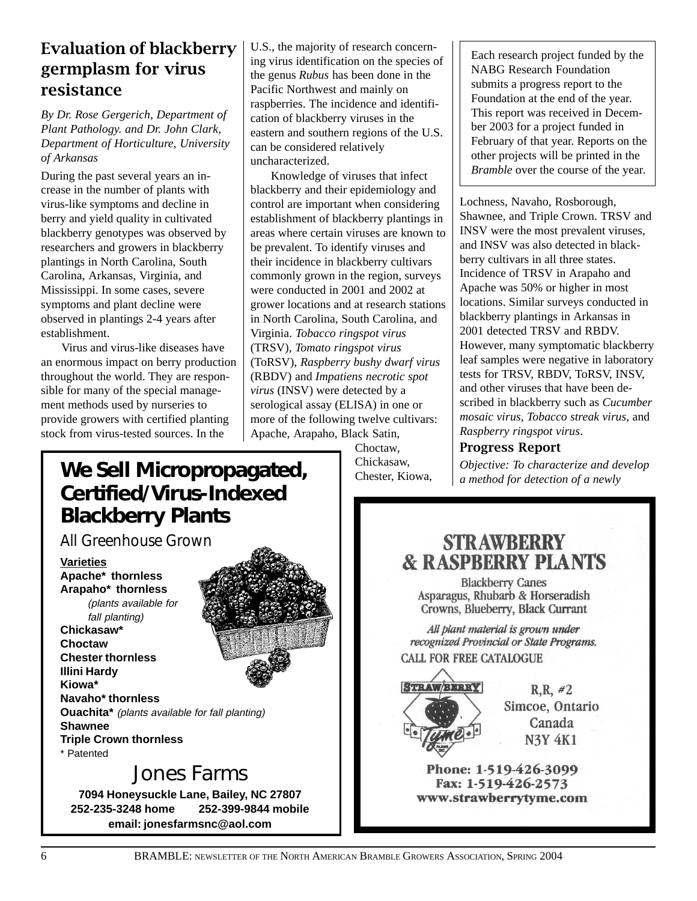#### Evaluation of blackberry germplasm for virus resistance

*By Dr. Rose Gergerich, Department of Plant Pathology. and Dr. John Clark, Department of Horticulture, University of Arkansas*

During the past several years an increase in the number of plants with virus-like symptoms and decline in berry and yield quality in cultivated blackberry genotypes was observed by researchers and growers in blackberry plantings in North Carolina, South Carolina, Arkansas, Virginia, and Mississippi. In some cases, severe symptoms and plant decline were observed in plantings 2-4 years after establishment.

Virus and virus-like diseases have an enormous impact on berry production throughout the world. They are responsible for many of the special management methods used by nurseries to provide growers with certified planting stock from virus-tested sources. In the

U.S., the majority of research concerning virus identification on the species of the genus *Rubus* has been done in the Pacific Northwest and mainly on raspberries. The incidence and identification of blackberry viruses in the eastern and southern regions of the U.S. can be considered relatively uncharacterized.

Knowledge of viruses that infect blackberry and their epidemiology and control are important when considering establishment of blackberry plantings in areas where certain viruses are known to be prevalent. To identify viruses and their incidence in blackberry cultivars commonly grown in the region, surveys were conducted in 2001 and 2002 at grower locations and at research stations in North Carolina, South Carolina, and Virginia. *Tobacco ringspot virus* (TRSV), *Tomato ringspot virus* (ToRSV), *Raspberry bushy dwarf virus* (RBDV) and *Impatiens necrotic spot virus* (INSV) were detected by a serological assay (ELISA) in one or more of the following twelve cultivars: Apache, Arapaho, Black Satin,

> Choctaw, Chickasaw, Chester, Kiowa,

Each research project funded by the NABG Research Foundation submits a progress report to the Foundation at the end of the year. This report was received in December 2003 for a project funded in February of that year. Reports on the other projects will be printed in the *Bramble* over the course of the year.

Lochness, Navaho, Rosborough, Shawnee, and Triple Crown. TRSV and INSV were the most prevalent viruses, and INSV was also detected in blackberry cultivars in all three states. Incidence of TRSV in Arapaho and Apache was 50% or higher in most locations. Similar surveys conducted in blackberry plantings in Arkansas in 2001 detected TRSV and RBDV. However, many symptomatic blackberry leaf samples were negative in laboratory tests for TRSV, RBDV, ToRSV, INSV, and other viruses that have been described in blackberry such as *Cucumber mosaic virus, Tobacco streak virus,* and *Raspberry ringspot virus*.

#### Progress Report

# **We Sell Micropropagated, a** Chickasaw, *Chipective: To characterize and develop* Chester, Kiowa, *a method for detection of a newly* **Certified/Virus-Indexed Blackberry Plants**

*All Greenhouse Grown*

**Varieties**

**Apache\* thornless Arapaho\* thornless** (plants available for fall planting)

**Chickasaw\* Choctaw Chester thornless Illini Hardy Kiowa\***



**Navaho\* thornless Ouachita\*** (plants available for fall planting) **Shawnee Triple Crown thornless**

\* Patented

# Jones Farms

**7094 Honeysuckle Lane, Bailey, NC 27807 252-235-3248 home 252-399-9844 mobile email: jonesfarmsnc@aol.com**

**STRAWBERRY & RASPBERRY PLANTS** 

**Blackberry Canes** Asparagus, Rhubarb & Horseradish Crowns, Blueberry, Black Currant

All plant material is grown under recognized Provincial or State Programs. **CALL FOR FREE CATALOGUE** 



 $R, R, #2$ Simcoe, Ontario Canada **N3Y 4K1** 

Phone: 1-519-426-3099 Fax: 1-519-426-2573 www.strawberrytyme.com